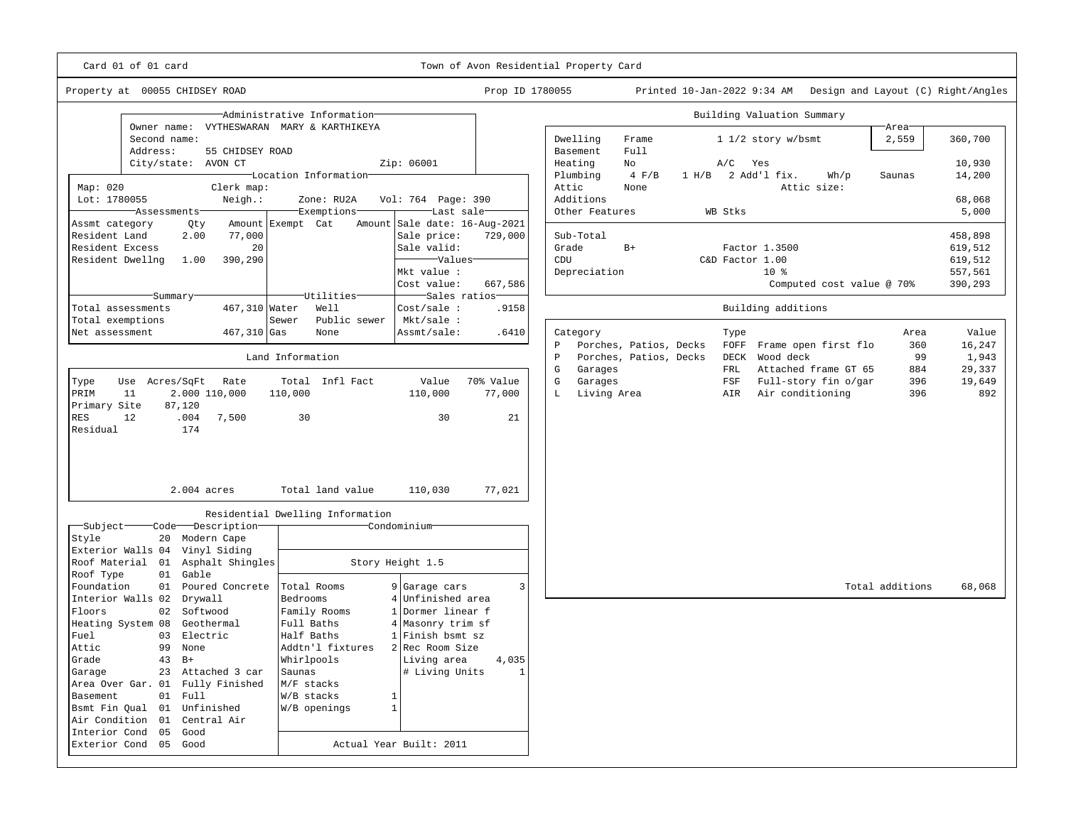Card 01 of 01 card Town of Avon Residential Property Card

Property at 00055 CHIDSEY ROAD Prop ID 1780055 Printed 10-Jan-2022 9:34 AM Design and Layout (C) Right/Angles

—

| Administrative Information                                   |                                  |                               |                     | Building Valuation Summary |                        |                        |                     |                          |                           |      |                 |               |  |
|--------------------------------------------------------------|----------------------------------|-------------------------------|---------------------|----------------------------|------------------------|------------------------|---------------------|--------------------------|---------------------------|------|-----------------|---------------|--|
| Owner name:<br>VYTHESWARAN MARY & KARTHIKEYA<br>Second name: |                                  |                               |                     |                            | Dwelling               | Frame                  | $11/2$ story w/bsmt |                          |                           |      | Area<br>2,559   | 360,700       |  |
| Address:<br>55 CHIDSEY ROAD                                  |                                  |                               |                     |                            | Basement               | Full                   |                     |                          |                           |      |                 |               |  |
| City/state:<br>AVON CT                                       |                                  | Zip: 06001                    |                     | Heating                    |                        | No                     |                     | A/C                      | Yes                       |      |                 | 10,930        |  |
|                                                              | Location Information             |                               |                     |                            | Plumbing               | $4$ $F/B$              | 1 H/B               |                          | 2 Add'l fix.              | Wh/p | Saunas          | 14,200        |  |
| Map: 020<br>Clerk map:                                       |                                  |                               |                     | Attic                      |                        | None                   |                     |                          | Attic size:               |      |                 |               |  |
| Lot: 1780055<br>Neigh.:                                      | Zone: RU2A                       | Vol: 764 Page: 390            |                     |                            | Additions              |                        |                     |                          |                           |      |                 | 68,068        |  |
| Assessments                                                  | Exemptions                       | Last sale                     |                     |                            | Other Features         |                        |                     | WB Stks                  |                           |      |                 | 5,000         |  |
| Assmt category<br>Qty                                        | Amount Exempt Cat                | Amount Sale date: 16-Aug-2021 |                     |                            |                        |                        |                     |                          |                           |      |                 |               |  |
| Resident Land<br>77,000<br>2.00                              |                                  | Sale price:                   | 729,000             |                            | Sub-Total              |                        |                     |                          |                           |      |                 | 458,898       |  |
| Resident Excess<br>20                                        |                                  | Sale valid:                   |                     | Grade                      |                        | $B+$                   |                     |                          | Factor 1.3500             |      |                 | 619,512       |  |
| Resident Dwellng<br>390,290<br>1.00                          |                                  |                               | Values <sup>-</sup> |                            | CDU                    |                        |                     | C&D Factor 1.00<br>$10*$ |                           |      |                 | 619,512       |  |
|                                                              |                                  | Mkt value :                   |                     | Depreciation               |                        |                        | 557,561             |                          |                           |      |                 |               |  |
|                                                              |                                  | Cost value:                   | 667,586             |                            |                        |                        |                     |                          | Computed cost value @ 70% |      |                 | 390,293       |  |
| Summary                                                      | Utilities                        | Sales ratios                  |                     |                            |                        |                        |                     |                          |                           |      |                 |               |  |
| 467,310 Water<br>Total assessments                           | Well                             | Cost/sale:                    | .9158               |                            |                        |                        |                     |                          | Building additions        |      |                 |               |  |
| Total exemptions                                             | Public sewer<br>Sewer            | Mkt/sale :                    |                     |                            |                        |                        |                     |                          |                           |      |                 |               |  |
| Net assessment<br>467,310 Gas                                | None                             | Assmt/sale:                   | .6410               |                            | Category               |                        |                     | Type                     |                           |      | Area            | Value         |  |
|                                                              |                                  |                               |                     | $\, {\bf p}$               |                        | Porches, Patios, Decks |                     |                          | FOFF Frame open first flo |      | 360             | 16,247        |  |
|                                                              | Land Information                 |                               |                     | P                          |                        | Porches, Patios, Decks |                     | DECK                     | Wood deck                 |      | 99              | 1,943         |  |
|                                                              |                                  |                               |                     | ${\mathbb G}$              | Garages                |                        |                     | FRL                      | Attached frame GT 65      |      | 884             | 29,337        |  |
| Type<br>Use<br>Acres/SqFt<br>Rate                            | Total Infl Fact                  | Value<br>110,000              | 70% Value           | ${\mathbb G}$<br>L         | Garages<br>Living Area |                        |                     | FSF                      | Full-story fin o/gar      |      | 396<br>396      | 19,649<br>892 |  |
| PRIM<br>11<br>2.000 110,000<br>Primary Site<br>87,120        | 110,000                          |                               | 77,000              |                            |                        |                        |                     | AIR                      | Air conditioning          |      |                 |               |  |
| <b>RES</b><br>12<br>.004<br>7,500                            | 30                               | 30                            | 21                  |                            |                        |                        |                     |                          |                           |      |                 |               |  |
| Residual<br>174                                              |                                  |                               |                     |                            |                        |                        |                     |                          |                           |      |                 |               |  |
|                                                              |                                  |                               |                     |                            |                        |                        |                     |                          |                           |      |                 |               |  |
|                                                              |                                  |                               |                     |                            |                        |                        |                     |                          |                           |      |                 |               |  |
|                                                              |                                  |                               |                     |                            |                        |                        |                     |                          |                           |      |                 |               |  |
|                                                              |                                  |                               |                     |                            |                        |                        |                     |                          |                           |      |                 |               |  |
| 2.004 acres                                                  | Total land value                 | 110,030                       | 77,021              |                            |                        |                        |                     |                          |                           |      |                 |               |  |
|                                                              | Residential Dwelling Information |                               |                     |                            |                        |                        |                     |                          |                           |      |                 |               |  |
| Subject<br>Code Description                                  |                                  | Condominium                   |                     |                            |                        |                        |                     |                          |                           |      |                 |               |  |
| Style<br>20 Modern Cape                                      |                                  |                               |                     |                            |                        |                        |                     |                          |                           |      |                 |               |  |
| Exterior Walls 04 Vinyl Siding                               |                                  |                               |                     |                            |                        |                        |                     |                          |                           |      |                 |               |  |
| Roof Material 01 Asphalt Shingles                            |                                  | Story Height 1.5              |                     |                            |                        |                        |                     |                          |                           |      |                 |               |  |
| Roof Type<br>Gable<br>01                                     |                                  |                               |                     |                            |                        |                        |                     |                          |                           |      |                 |               |  |
| Foundation<br>01<br>Poured Concrete                          | Total Rooms                      | 9 Garage cars                 | 3                   |                            |                        |                        |                     |                          |                           |      | Total additions | 68,068        |  |
| Interior Walls 02<br>Drywall                                 | Bedrooms                         | Unfinished area               |                     |                            |                        |                        |                     |                          |                           |      |                 |               |  |
| 02 Softwood<br>Floors                                        | Family Rooms                     | 1 Dormer linear f             |                     |                            |                        |                        |                     |                          |                           |      |                 |               |  |
| Heating System 08<br>Geothermal                              | Full Baths                       | 4 Masonry trim sf             |                     |                            |                        |                        |                     |                          |                           |      |                 |               |  |
| Fuel<br>Electric<br>03                                       | Half Baths                       | 1 Finish bsmt sz              |                     |                            |                        |                        |                     |                          |                           |      |                 |               |  |
| Attic<br>99<br>None                                          | Addtn'l fixtures                 | 2 Rec Room Size               |                     |                            |                        |                        |                     |                          |                           |      |                 |               |  |
| Grade<br>43<br>$B+$                                          | Whirlpools                       | Living area                   | 4,035               |                            |                        |                        |                     |                          |                           |      |                 |               |  |
| 23 Attached 3 car<br>Garage                                  | Saunas                           | # Living Units                | $\mathbf{1}$        |                            |                        |                        |                     |                          |                           |      |                 |               |  |
| Area Over Gar. 01 Fully Finished                             | M/F stacks                       |                               |                     |                            |                        |                        |                     |                          |                           |      |                 |               |  |
| Basement<br>01<br>Full                                       | W/B stacks                       | $\mathbf{1}$                  |                     |                            |                        |                        |                     |                          |                           |      |                 |               |  |
| Unfinished<br>Bsmt Fin Qual 01                               | W/B openings                     | 1                             |                     |                            |                        |                        |                     |                          |                           |      |                 |               |  |
| Air Condition 01<br>Central Air                              |                                  |                               |                     |                            |                        |                        |                     |                          |                           |      |                 |               |  |
| Interior Cond<br>05<br>Good                                  |                                  |                               |                     |                            |                        |                        |                     |                          |                           |      |                 |               |  |
| Exterior Cond 05 Good<br>Actual Year Built: 2011             |                                  |                               |                     |                            |                        |                        |                     |                          |                           |      |                 |               |  |
|                                                              |                                  |                               |                     |                            |                        |                        |                     |                          |                           |      |                 |               |  |